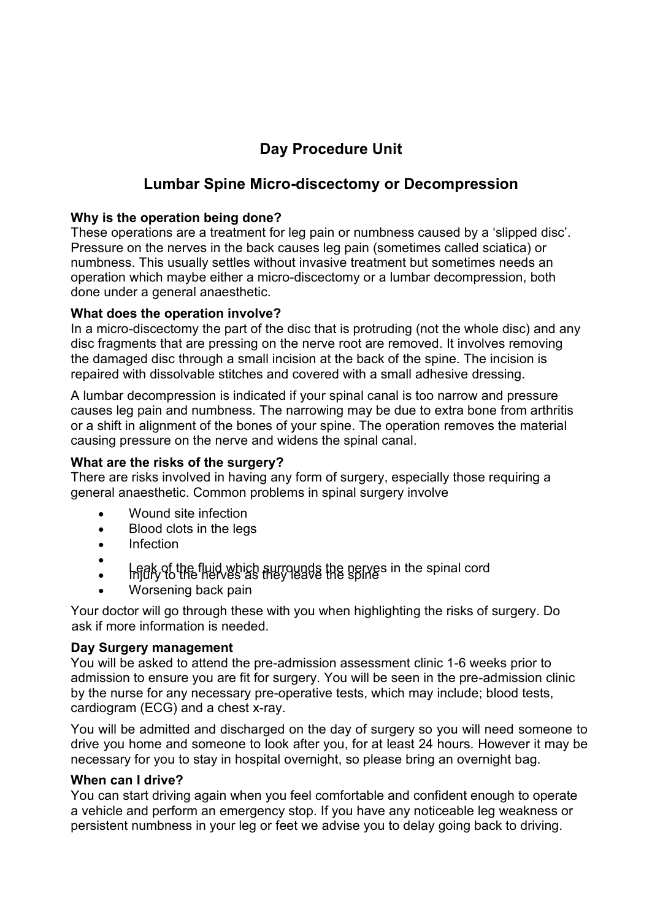# **Day Procedure Unit**

## **Lumbar Spine Micro-discectomy or Decompression**

#### **Why is the operation being done?**

These operations are a treatment for leg pain or numbness caused by a 'slipped disc'. Pressure on the nerves in the back causes leg pain (sometimes called sciatica) or numbness. This usually settles without invasive treatment but sometimes needs an operation which maybe either a micro-discectomy or a lumbar decompression, both done under a general anaesthetic.

### **What does the operation involve?**

In a micro-discectomy the part of the disc that is protruding (not the whole disc) and any disc fragments that are pressing on the nerve root are removed. It involves removing the damaged disc through a small incision at the back of the spine. The incision is repaired with dissolvable stitches and covered with a small adhesive dressing.

A lumbar decompression is indicated if your spinal canal is too narrow and pressure causes leg pain and numbness. The narrowing may be due to extra bone from arthritis or a shift in alignment of the bones of your spine. The operation removes the material causing pressure on the nerve and widens the spinal canal.

#### **What are the risks of the surgery?**

There are risks involved in having any form of surgery, especially those requiring a general anaesthetic. Common problems in spinal surgery involve

- Wound site infection
- Blood clots in the legs
- Infection
- $\bullet$  $\cdot$  Leak of the fluid which surrounds the nerves in the spinal cord
- Worsening back pain

Your doctor will go through these with you when highlighting the risks of surgery. Do ask if more information is needed.

#### **Day Surgery management**

You will be asked to attend the pre-admission assessment clinic 1-6 weeks prior to admission to ensure you are fit for surgery. You will be seen in the pre-admission clinic by the nurse for any necessary pre-operative tests, which may include; blood tests, cardiogram (ECG) and a chest x-ray.

You will be admitted and discharged on the day of surgery so you will need someone to drive you home and someone to look after you, for at least 24 hours. However it may be necessary for you to stay in hospital overnight, so please bring an overnight bag.

#### **When can I drive?**

You can start driving again when you feel comfortable and confident enough to operate a vehicle and perform an emergency stop. If you have any noticeable leg weakness or persistent numbness in your leg or feet we advise you to delay going back to driving.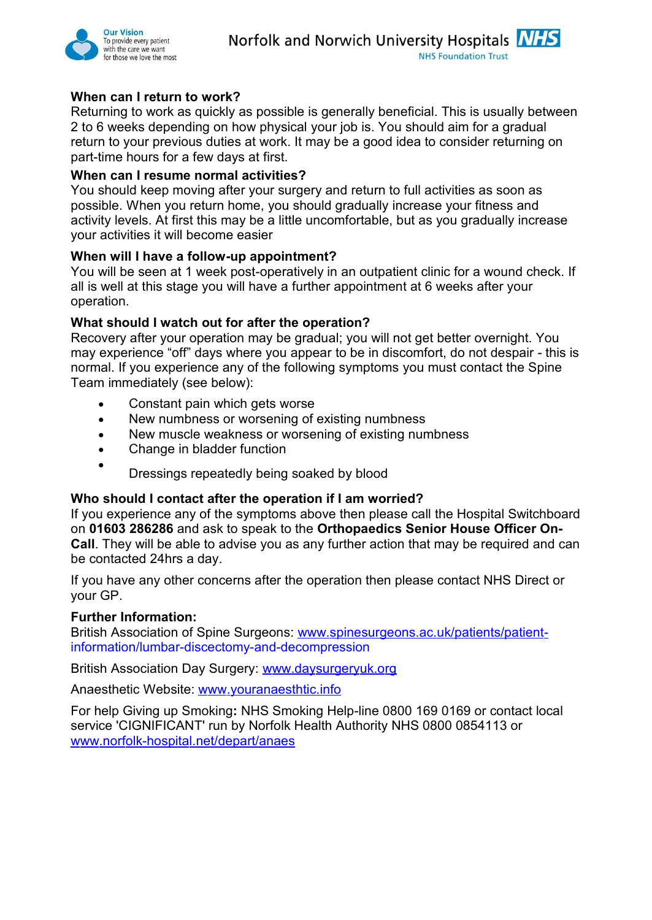

#### **When can I return to work?**

Returning to work as quickly as possible is generally beneficial. This is usually between 2 to 6 weeks depending on how physical your job is. You should aim for a gradual return to your previous duties at work. It may be a good idea to consider returning on part-time hours for a few days at first.

#### **When can I resume normal activities?**

You should keep moving after your surgery and return to full activities as soon as possible. When you return home, you should gradually increase your fitness and activity levels. At first this may be a little uncomfortable, but as you gradually increase your activities it will become easier

#### **When will I have a follow-up appointment?**

You will be seen at 1 week post-operatively in an outpatient clinic for a wound check. If all is well at this stage you will have a further appointment at 6 weeks after your operation.

#### **What should I watch out for after the operation?**

Recovery after your operation may be gradual; you will not get better overnight. You may experience "off" days where you appear to be in discomfort, do not despair - this is normal. If you experience any of the following symptoms you must contact the Spine Team immediately (see below):

- Constant pain which gets worse
- New numbness or worsening of existing numbness
- New muscle weakness or worsening of existing numbness
- Change in bladder function
- $\bullet$ Dressings repeatedly being soaked by blood

#### **Who should I contact after the operation if I am worried?**

If you experience any of the symptoms above then please call the Hospital Switchboard on **01603 286286** and ask to speak to the **Orthopaedics Senior House Officer On-Call**. They will be able to advise you as any further action that may be required and can be contacted 24hrs a day.

If you have any other concerns after the operation then please contact NHS Direct or your GP.

#### **Further Information:**

British Association of Spine Surgeons: www.spinesurgeons.ac.uk/patients/patientinformation/lumbar-discectomy-and-decompression

British Association Day Surgery: www.daysurgeryuk.org

Anaesthetic Website: www.youranaesthtic.info

For help Giving up Smoking**:** NHS Smoking Help-line 0800 169 0169 or contact local service 'CIGNIFICANT' run by Norfolk Health Authority NHS 0800 0854113 or www.norfolk-hospital.net/depart/anaes